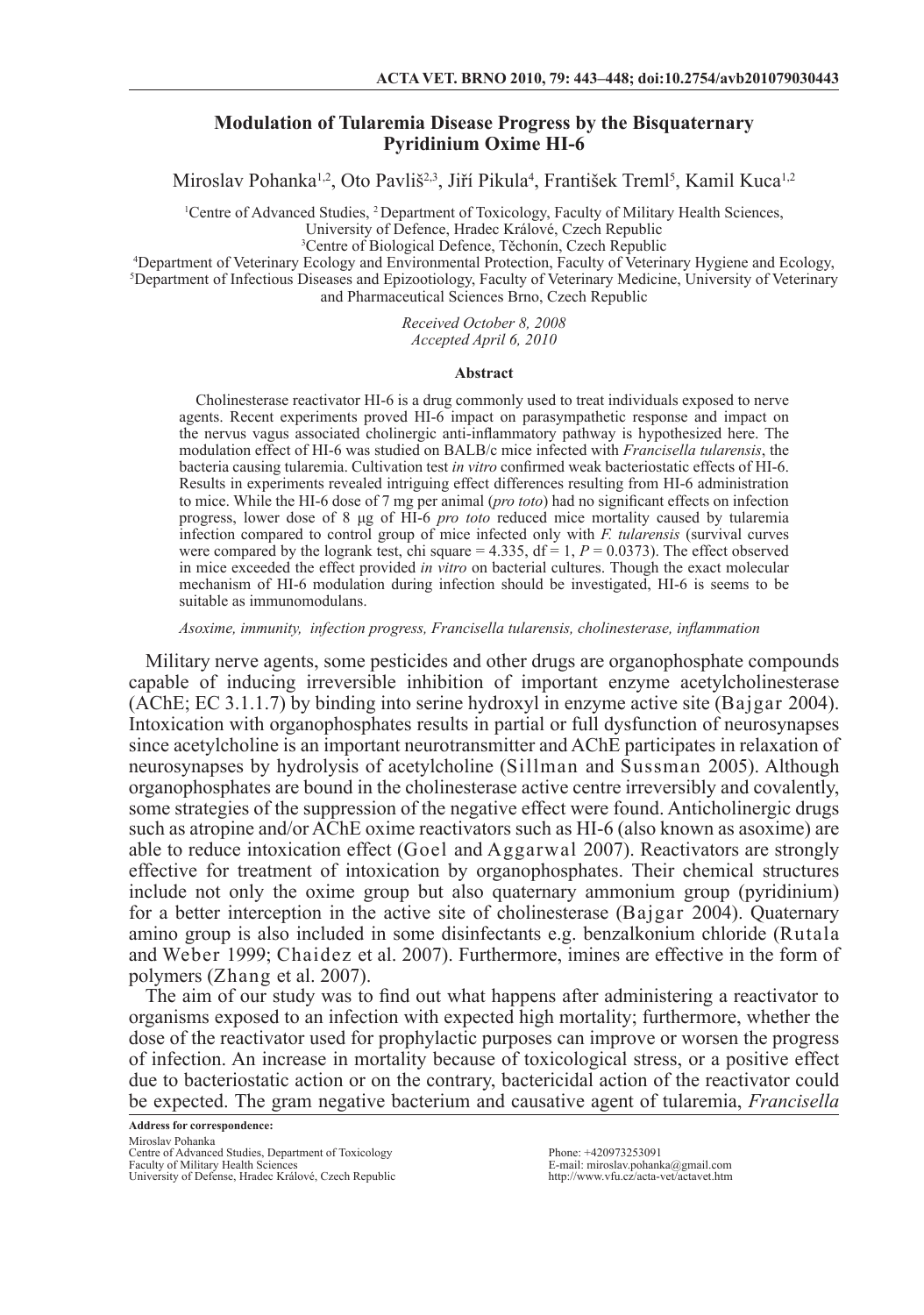# **Modulation of Tularemia Disease Progress by the Bisquaternary Pyridinium Oxime HI-6**

Miroslav Pohanka<sup>1,2</sup>, Oto Pavliš<sup>2,3</sup>, Jiří Pikula<sup>4</sup>, František Treml<sup>5</sup>, Kamil Kuca<sup>1,2</sup>

<sup>1</sup>Centre of Advanced Studies, <sup>2</sup> Department of Toxicology, Faculty of Military Health Sciences,

University of Defence, Hradec Králové, Czech Republic

3 Centre of Biological Defence, Těchonín, Czech Republic

4 Department of Veterinary Ecology and Environmental Protection, Faculty of Veterinary Hygiene and Ecology, 5 Department of Infectious Diseases and Epizootiology, Faculty of Veterinary Medicine, University of Veterinary and Pharmaceutical Sciences Brno, Czech Republic

> *Received October 8, 2008 Accepted April 6, 2010*

#### **Abstract**

Cholinesterase reactivator HI-6 is a drug commonly used to treat individuals exposed to nerve agents. Recent experiments proved HI-6 impact on parasympathetic response and impact on the nervus vagus associated cholinergic anti-inflammatory pathway is hypothesized here. The modulation effect of HI-6 was studied on BALB/c mice infected with *Francisella tularensis*, the bacteria causing tularemia. Cultivation test *in vitro* confirmed weak bacteriostatic effects of HI-6. Results in experiments revealed intriguing effect differences resulting from HI-6 administration to mice. While the HI-6 dose of 7 mg per animal (*pro toto*) had no significant effects on infection progress, lower dose of 8 μg of HI-6 *pro toto* reduced mice mortality caused by tularemia infection compared to control group of mice infected only with *F. tularensis* (survival curves were compared by the logrank test, chi square =  $4.335$ , df = 1,  $P = 0.0373$ ). The effect observed in mice exceeded the effect provided *in vitro* on bacterial cultures. Though the exact molecular mechanism of HI-6 modulation during infection should be investigated, HI-6 is seems to be suitable as immunomodulans.

*Asoxime, immunity, infection progress, Francisella tularensis, cholinesterase, inflammation*

Military nerve agents, some pesticides and other drugs are organophosphate compounds capable of inducing irreversible inhibition of important enzyme acetylcholinesterase (AChE; EC 3.1.1.7) by binding into serine hydroxyl in enzyme active site (Bajgar 2004). Intoxication with organophosphates results in partial or full dysfunction of neurosynapses since acetylcholine is an important neurotransmitter and AChE participates in relaxation of neurosynapses by hydrolysis of acetylcholine (Sillman and Sussman 2005). Although organophosphates are bound in the cholinesterase active centre irreversibly and covalently, some strategies of the suppression of the negative effect were found. Anticholinergic drugs such as atropine and/or AChE oxime reactivators such as HI-6 (also known as asoxime) are able to reduce intoxication effect (Goel and Aggarwal 2007). Reactivators are strongly effective for treatment of intoxication by organophosphates. Their chemical structures include not only the oxime group but also quaternary ammonium group (pyridinium) for a better interception in the active site of cholinesterase (Bajgar 2004). Quaternary amino group is also included in some disinfectants e.g. benzalkonium chloride (Rutala and Weber 1999; Chaidez et al. 2007). Furthermore, imines are effective in the form of polymers (Zhang et al. 2007).

The aim of our study was to find out what happens after administering a reactivator to organisms exposed to an infection with expected high mortality; furthermore, whether the dose of the reactivator used for prophylactic purposes can improve or worsen the progress of infection. An increase in mortality because of toxicological stress, or a positive effect due to bacteriostatic action or on the contrary, bactericidal action of the reactivator could be expected. The gram negative bacterium and causative agent of tularemia, *Francisella* 

Phone: +420973253091 E-mail: miroslav.pohanka@gmail.com http://www.vfu.cz/acta-vet/actavet.htm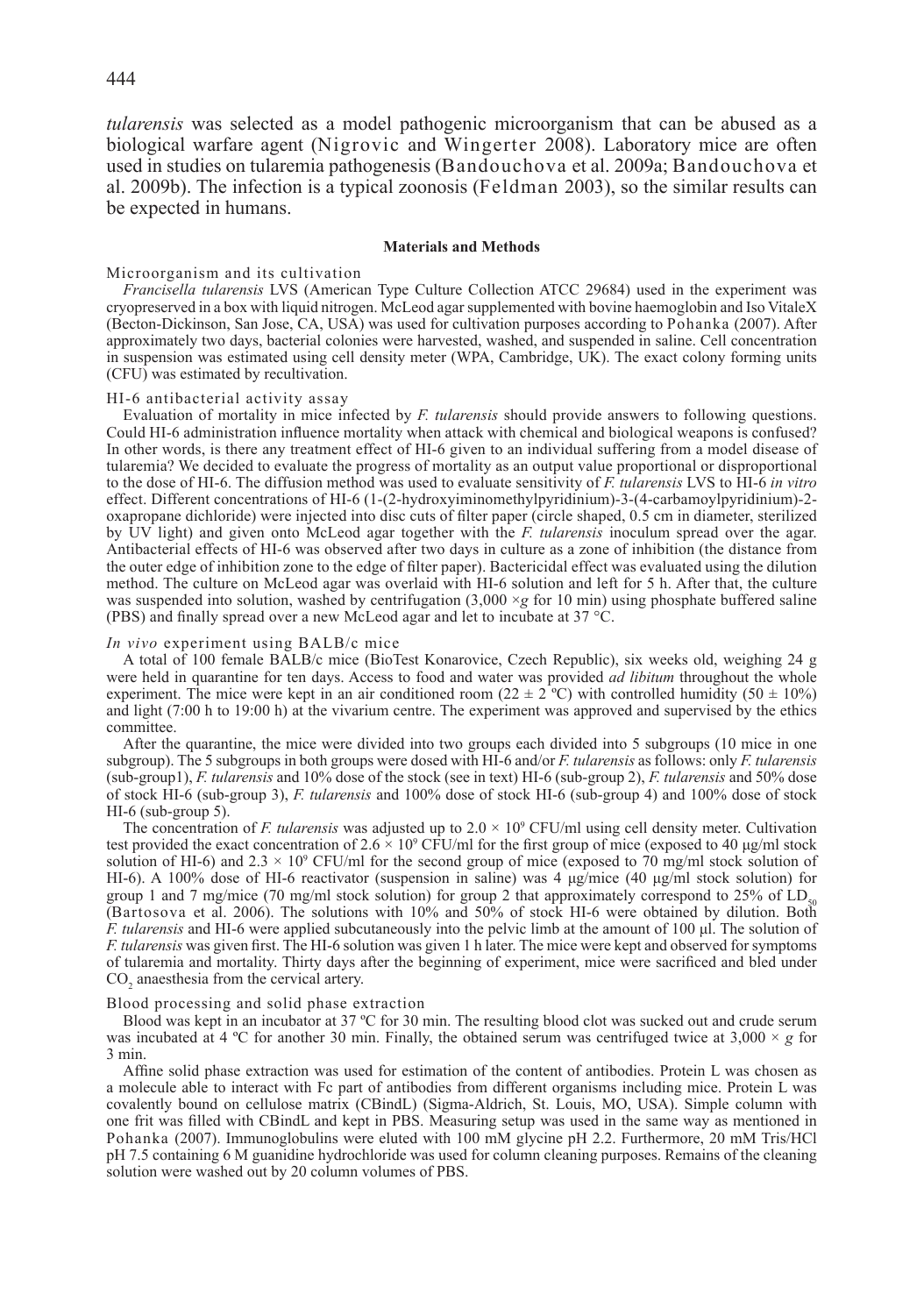*tularensis* was selected as a model pathogenic microorganism that can be abused as a biological warfare agent (Nigrovic and Wingerter 2008). Laboratory mice are often used in studies on tularemia pathogenesis (Bandouchova et al. 2009a; Bandouchova et al. 2009b). The infection is a typical zoonosis (Feldman 2003), so the similar results can be expected in humans.

### **Materials and Methods**

### Microorganism and its cultivation

*Francisella tularensis* LVS (American Type Culture Collection ATCC 29684) used in the experiment was cryopreserved in a box with liquid nitrogen. McLeod agar supplemented with bovine haemoglobin and Iso VitaleX (Becton-Dickinson, San Jose, CA, USA) was used for cultivation purposes according to Pohanka (2007). After approximately two days, bacterial colonies were harvested, washed, and suspended in saline. Cell concentration in suspension was estimated using cell density meter (WPA, Cambridge, UK). The exact colony forming units (CFU) was estimated by recultivation.

#### HI-6 antibacterial activity assay

Evaluation of mortality in mice infected by *F. tularensis* should provide answers to following questions. Could HI-6 administration influence mortality when attack with chemical and biological weapons is confused? In other words, is there any treatment effect of HI-6 given to an individual suffering from a model disease of tularemia? We decided to evaluate the progress of mortality as an output value proportional or disproportional to the dose of HI-6. The diffusion method was used to evaluate sensitivity of *F. tularensis* LVS to HI-6 *in vitro* effect. Different concentrations of HI-6 (1-(2-hydroxyiminomethylpyridinium)-3-(4-carbamoylpyridinium)-2 oxapropane dichloride) were injected into disc cuts of filter paper (circle shaped, 0.5 cm in diameter, sterilized by UV light) and given onto McLeod agar together with the *F. tularensis* inoculum spread over the agar. Antibacterial effects of HI-6 was observed after two days in culture as a zone of inhibition (the distance from the outer edge of inhibition zone to the edge of filter paper). Bactericidal effect was evaluated using the dilution method. The culture on McLeod agar was overlaid with HI-6 solution and left for 5 h. After that, the culture was suspended into solution, washed by centrifugation  $(3,000 \times g$  for 10 min) using phosphate buffered saline (PBS) and finally spread over a new McLeod agar and let to incubate at 37 °C.

#### *In vivo* experiment using BALB/c mice

A total of 100 female BALB/c mice (BioTest Konarovice, Czech Republic), six weeks old, weighing 24 g were held in quarantine for ten days. Access to food and water was provided *ad libitum* throughout the whole experiment. The mice were kept in an air conditioned room ( $22 \pm 2^{\degree}$ C) with controlled humidity ( $50 \pm 10\%$ ) and light (7:00 h to 19:00 h) at the vivarium centre. The experiment was approved and supervised by the ethics committee.

After the quarantine, the mice were divided into two groups each divided into 5 subgroups (10 mice in one subgroup). The 5 subgroups in both groups were dosed with HI-6 and/or *F. tularensis* as follows: only *F. tularensis* (sub-group1), *F. tularensis* and 10% dose of the stock (see in text) HI-6 (sub-group 2), *F. tularensis* and 50% dose of stock HI-6 (sub-group 3), *F. tularensis* and 100% dose of stock HI-6 (sub-group 4) and 100% dose of stock HI-6 (sub-group 5).

The concentration of *F. tularensis* was adjusted up to  $2.0 \times 10^9$  CFU/ml using cell density meter. Cultivation test provided the exact concentration of  $2.6 \times 10^9$  CFU/ml for the first group of mice (exposed to 40 µg/ml stock solution of HI-6) and  $2.3 \times 10^9$  CFU/ml for the second group of mice (exposed to 70 mg/ml stock solution of HI-6). A 100% dose of HI-6 reactivator (suspension in saline) was 4 μg/mice (40 μg/ml stock solution) for group 1 and 7 mg/mice (70 mg/ml stock solution) for group 2 that approximately correspond to 25% of  $LD_{so}$ (Bartosova et al. 2006). The solutions with 10% and 50% of stock HI-6 were obtained by dilution. Both *F. tularensis* and HI-6 were applied subcutaneously into the pelvic limb at the amount of 100 μl. The solution of *F. tularensis* was given first. The HI-6 solution was given 1 h later. The mice were kept and observed for symptoms of tularemia and mortality. Thirty days after the beginning of experiment, mice were sacrificed and bled under  $CO<sub>2</sub>$  anaesthesia from the cervical artery.

#### Blood processing and solid phase extraction

Blood was kept in an incubator at 37 °C for 30 min. The resulting blood clot was sucked out and crude serum was incubated at 4 °C for another 30 min. Finally, the obtained serum was centrifuged twice at  $3,000 \times g$  for 3 min.

Affine solid phase extraction was used for estimation of the content of antibodies. Protein L was chosen as a molecule able to interact with Fc part of antibodies from different organisms including mice. Protein L was covalently bound on cellulose matrix (CBindL) (Sigma-Aldrich, St. Louis, MO, USA). Simple column with one frit was filled with CBindL and kept in PBS. Measuring setup was used in the same way as mentioned in Pohanka (2007). Immunoglobulins were eluted with 100 mM glycine pH 2.2. Furthermore, 20 mM Tris/HCl pH 7.5 containing 6 M guanidine hydrochloride was used for column cleaning purposes. Remains of the cleaning solution were washed out by 20 column volumes of PBS.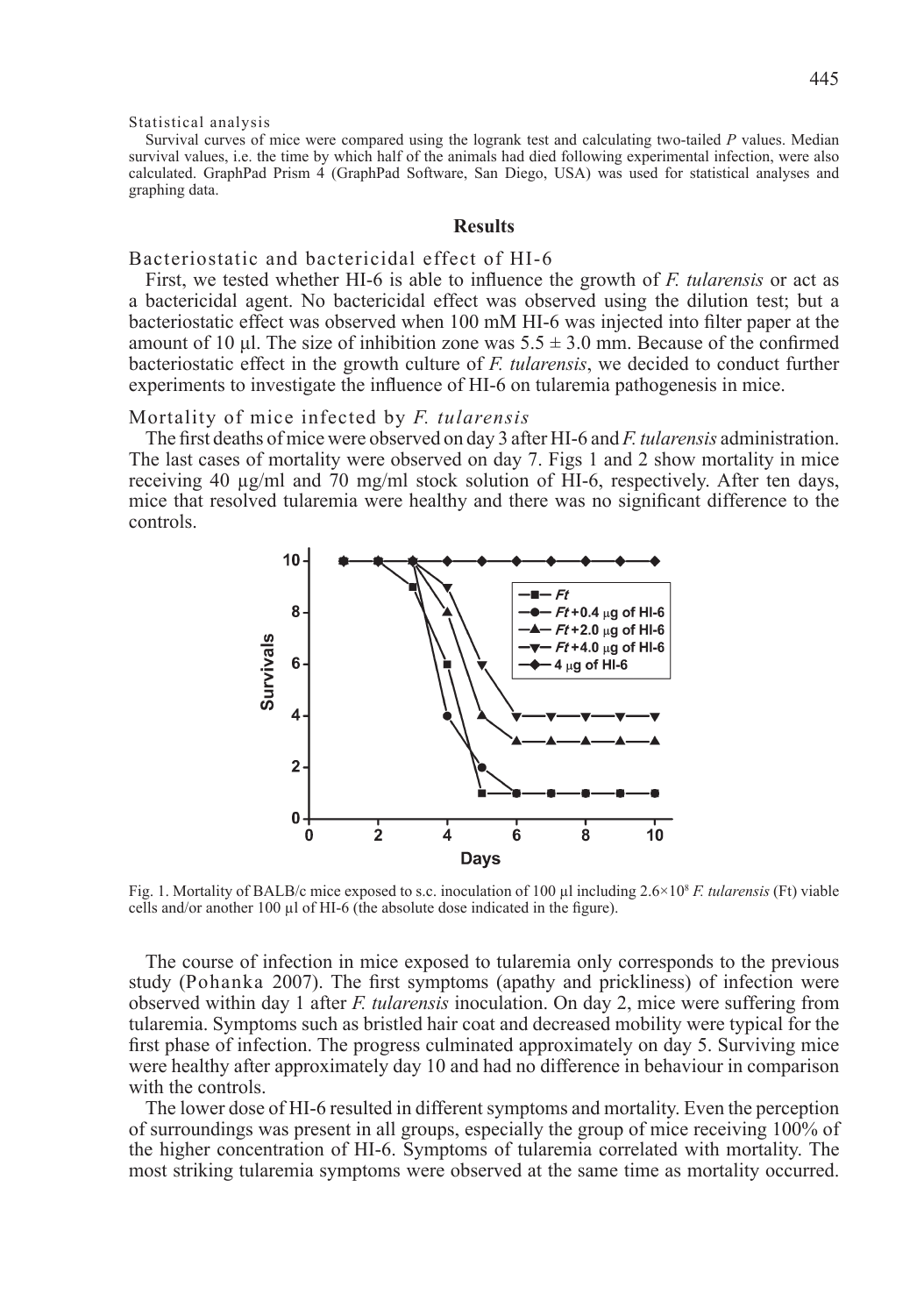Statistical analysis

Survival curves of mice were compared using the logrank test and calculating two-tailed *P* values. Median survival values, i.e. the time by which half of the animals had died following experimental infection, were also calculated. GraphPad Prism 4 (GraphPad Software, San Diego, USA) was used for statistical analyses and graphing data.

## **Results**

# Bacteriostatic and bactericidal effect of HI-6

First, we tested whether HI-6 is able to influence the growth of *F. tularensis* or act as a bactericidal agent. No bactericidal effect was observed using the dilution test; but a bacteriostatic effect was observed when 100 mM HI-6 was injected into filter paper at the amount of 10 μl. The size of inhibition zone was  $5.5 \pm 3.0$  mm. Because of the confirmed bacteriostatic effect in the growth culture of *F. tularensis*, we decided to conduct further experiments to investigate the influence of HI-6 on tularemia pathogenesis in mice.

# Mortality of mice infected by *F. tularensis*

The first deaths of mice were observed on day 3 after HI-6 and *F. tularensis* administration. The last cases of mortality were observed on day 7. Figs 1 and 2 show mortality in mice receiving 40 µg/ml and 70 mg/ml stock solution of HI-6, respectively. After ten days, mice that resolved tularemia were healthy and there was no significant difference to the controls.



Fig. 1. Mortality of BALB/c mice exposed to s.c. inoculation of 100 µl including 2.6×108 *F. tularensis* (Ft) viable cells and/or another 100 µl of HI-6 (the absolute dose indicated in the figure).

The course of infection in mice exposed to tularemia only corresponds to the previous study (Pohanka 2007). The first symptoms (apathy and prickliness) of infection were observed within day 1 after *F. tularensis* inoculation. On day 2, mice were suffering from tularemia. Symptoms such as bristled hair coat and decreased mobility were typical for the first phase of infection. The progress culminated approximately on day 5. Surviving mice were healthy after approximately day 10 and had no difference in behaviour in comparison with the controls.

The lower dose of HI-6 resulted in different symptoms and mortality. Even the perception of surroundings was present in all groups, especially the group of mice receiving 100% of the higher concentration of HI-6. Symptoms of tularemia correlated with mortality. The most striking tularemia symptoms were observed at the same time as mortality occurred.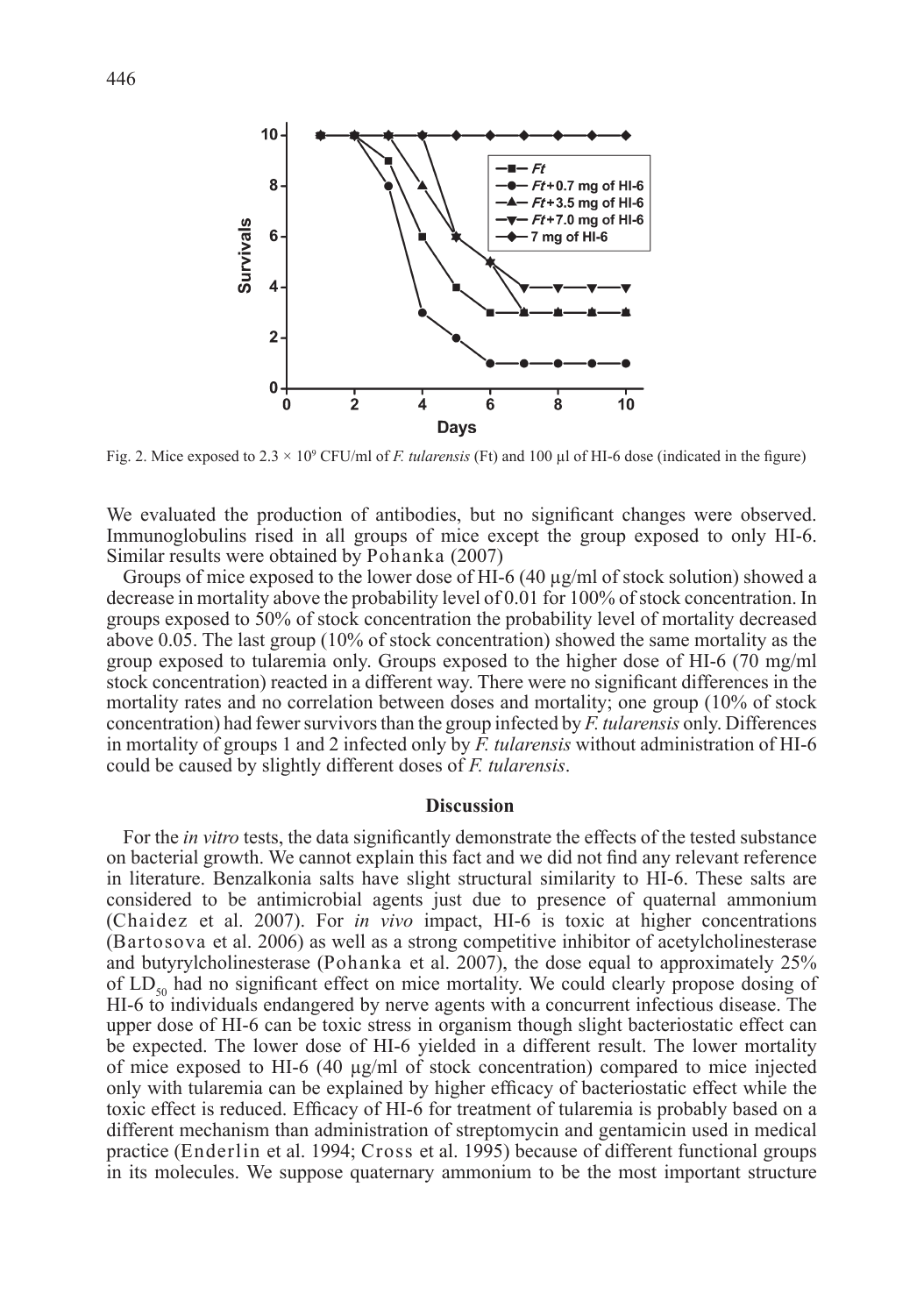

Fig. 2. Mice exposed to  $2.3 \times 10^9$  CFU/ml of *F. tularensis* (Ft) and 100  $\mu$ l of HI-6 dose (indicated in the figure)

We evaluated the production of antibodies, but no significant changes were observed. Immunoglobulins rised in all groups of mice except the group exposed to only HI-6. Similar results were obtained by Pohanka (2007)

Groups of mice exposed to the lower dose of HI-6  $(40 \mu g/ml)$  of stock solution) showed a decrease in mortality above the probability level of 0.01 for 100% of stock concentration. In groups exposed to 50% of stock concentration the probability level of mortality decreased above 0.05. The last group (10% of stock concentration) showed the same mortality as the group exposed to tularemia only. Groups exposed to the higher dose of HI-6 (70 mg/ml stock concentration) reacted in a different way. There were no significant differences in the mortality rates and no correlation between doses and mortality; one group (10% of stock concentration) had fewer survivors than the group infected by *F. tularensis* only. Differences in mortality of groups 1 and 2 infected only by *F. tularensis* without administration of HI-6 could be caused by slightly different doses of *F. tularensis*.

### **Discussion**

For the *in vitro* tests, the data significantly demonstrate the effects of the tested substance on bacterial growth. We cannot explain this fact and we did not find any relevant reference in literature. Benzalkonia salts have slight structural similarity to HI-6. These salts are considered to be antimicrobial agents just due to presence of quaternal ammonium (Chaidez et al. 2007). For *in vivo* impact, HI-6 is toxic at higher concentrations (Bartosova et al. 2006) as well as a strong competitive inhibitor of acetylcholinesterase and butyrylcholinesterase (Pohanka et al. 2007), the dose equal to approximately 25% of  $LD_{so}$  had no significant effect on mice mortality. We could clearly propose dosing of HI-6 to individuals endangered by nerve agents with a concurrent infectious disease. The upper dose of HI-6 can be toxic stress in organism though slight bacteriostatic effect can be expected. The lower dose of HI-6 yielded in a different result. The lower mortality of mice exposed to HI-6 (40  $\mu$ g/ml of stock concentration) compared to mice injected only with tularemia can be explained by higher efficacy of bacteriostatic effect while the toxic effect is reduced. Efficacy of HI-6 for treatment of tularemia is probably based on a different mechanism than administration of streptomycin and gentamicin used in medical practice (Enderlin et al. 1994; Cross et al. 1995) because of different functional groups in its molecules. We suppose quaternary ammonium to be the most important structure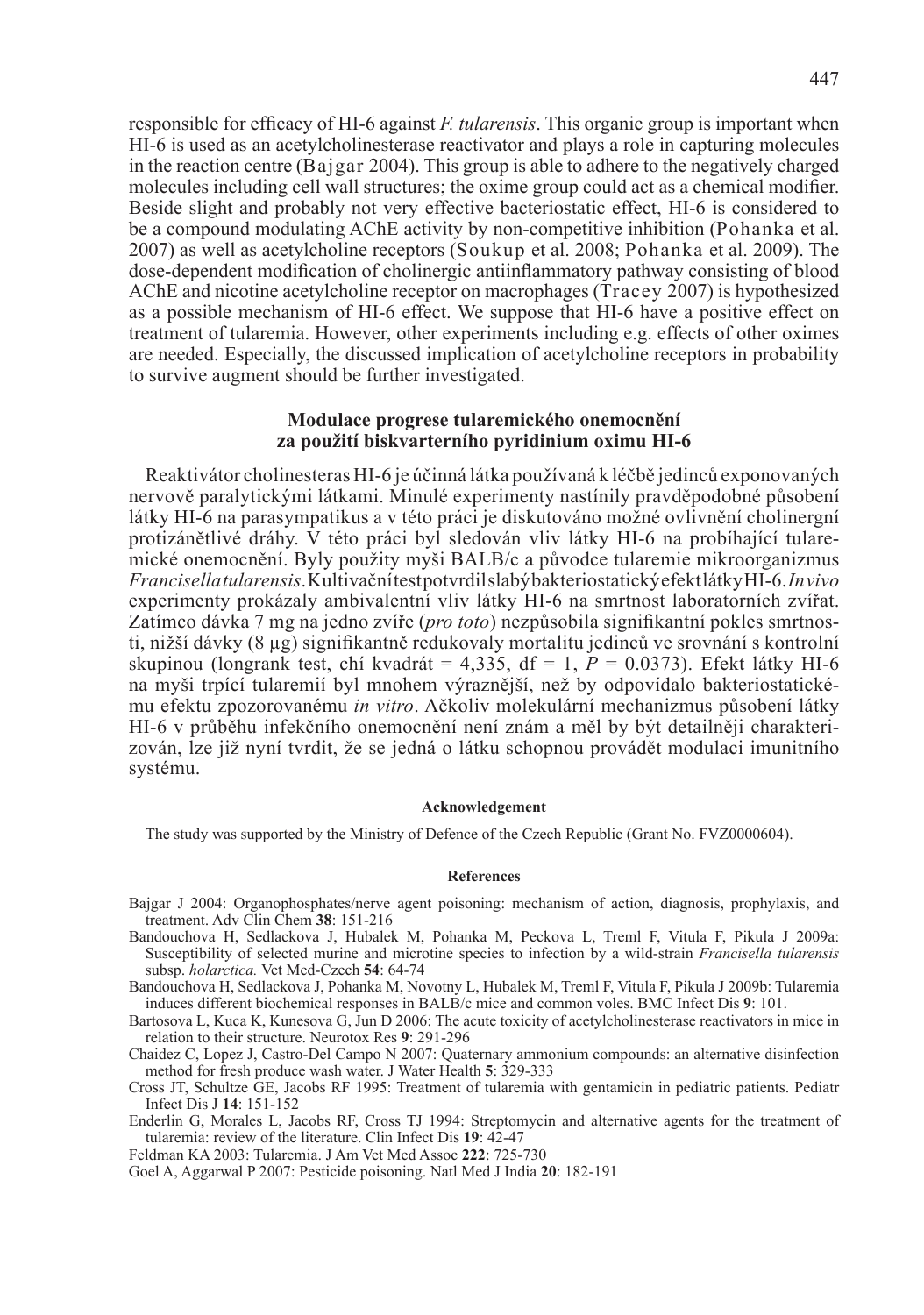responsible for efficacy of HI-6 against *F. tularensis*. This organic group is important when HI-6 is used as an acetylcholinesterase reactivator and plays a role in capturing molecules in the reaction centre (Bajgar 2004). This group is able to adhere to the negatively charged molecules including cell wall structures; the oxime group could act as a chemical modifier. Beside slight and probably not very effective bacteriostatic effect, HI-6 is considered to be a compound modulating AChE activity by non-competitive inhibition (Pohanka et al. 2007) as well as acetylcholine receptors (Soukup et al. 2008; Pohanka et al. 2009). The dose-dependent modification of cholinergic antiinflammatory pathway consisting of blood AChE and nicotine acetylcholine receptor on macrophages (Tracey 2007) is hypothesized as a possible mechanism of HI-6 effect. We suppose that HI-6 have a positive effect on treatment of tularemia. However, other experiments including e.g. effects of other oximes are needed. Especially, the discussed implication of acetylcholine receptors in probability to survive augment should be further investigated.

### **Modulace progrese tularemického onemocnění za použití biskvarterního pyridinium oximu HI-6**

Reaktivátor cholinesteras HI-6 je účinná látka používaná k léčbě jedinců exponovaných nervově paralytickými látkami. Minulé experimenty nastínily pravděpodobné působení látky HI-6 na parasympatikus a v této práci je diskutováno možné ovlivnění cholinergní protizánětlivé dráhy. V této práci byl sledován vliv látky HI-6 na probíhající tularemické onemocnění. Byly použity myši BALB/c a původce tularemie mikroorganizmus *Francisella tularensis*. Kultivační test potvrdil slabý bakteriostatický efekt látky HI-6. *In vivo* experimenty prokázaly ambivalentní vliv látky HI-6 na smrtnost laboratorních zvířat. Zatímco dávka 7 mg na jedno zvíře (*pro toto*) nezpůsobila signifikantní pokles smrtnosti, nižší dávky (8 µg) signifikantně redukovaly mortalitu jedinců ve srovnání s kontrolní skupinou (longrank test, chí kvadrát =  $4.335$ , df = 1,  $P = 0.0373$ ). Efekt látky HI-6 na myši trpící tularemií byl mnohem výraznější, než by odpovídalo bakteriostatickému efektu zpozorovanému *in vitro*. Ačkoliv molekulární mechanizmus působení látky HI-6 v průběhu infekčního onemocnění není znám a měl by být detailněji charakterizován, lze již nyní tvrdit, že se jedná o látku schopnou provádět modulaci imunitního systému.

### **Acknowledgement**

The study was supported by the Ministry of Defence of the Czech Republic (Grant No. FVZ0000604).

#### **References**

- Bajgar J 2004: Organophosphates/nerve agent poisoning: mechanism of action, diagnosis, prophylaxis, and treatment. Adv Clin Chem **38**: 151-216
- Bandouchova H, Sedlackova J, Hubalek M, Pohanka M, Peckova L, Treml F, Vitula F, Pikula J 2009a: Susceptibility of selected murine and microtine species to infection by a wild-strain *Francisella tularensis* subsp. *holarctica.* Vet Med-Czech **54**: 64-74

Bandouchova H, Sedlackova J, Pohanka M, Novotny L, Hubalek M, Treml F, Vitula F, Pikula J 2009b: Tularemia induces different biochemical responses in BALB/c mice and common voles. BMC Infect Dis **9**: 101.

Bartosova L, Kuca K, Kunesova G, Jun D 2006: The acute toxicity of acetylcholinesterase reactivators in mice in relation to their structure. Neurotox Res **9**: 291-296

Chaidez C, Lopez J, Castro-Del Campo N 2007: Quaternary ammonium compounds: an alternative disinfection method for fresh produce wash water. J Water Health **5**: 329-333

Cross JT, Schultze GE, Jacobs RF 1995: Treatment of tularemia with gentamicin in pediatric patients. Pediatr Infect Dis J **14**: 151-152

Enderlin G, Morales L, Jacobs RF, Cross TJ 1994: Streptomycin and alternative agents for the treatment of tularemia: review of the literature. Clin Infect Dis **19**: 42-47

Feldman KA 2003: Tularemia. J Am Vet Med Assoc **222**: 725-730

Goel A, Aggarwal P 2007: Pesticide poisoning. Natl Med J India **20**: 182-191